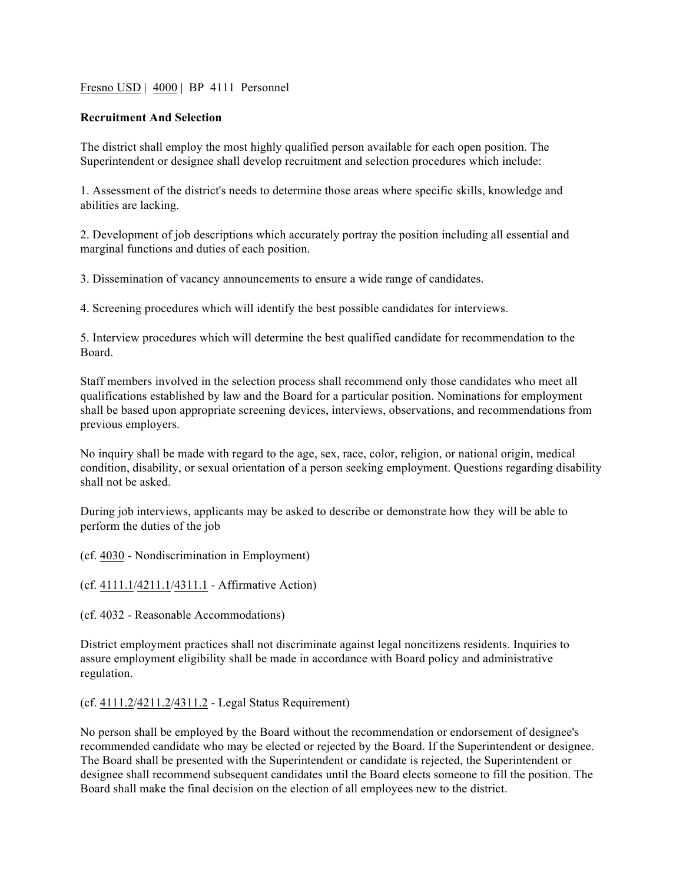## Fresno USD | 4000 | BP 4111 Personnel

## **Recruitment And Selection**

The district shall employ the most highly qualified person available for each open position. The Superintendent or designee shall develop recruitment and selection procedures which include:

1. Assessment of the district's needs to determine those areas where specific skills, knowledge and abilities are lacking.

2. Development of job descriptions which accurately portray the position including all essential and marginal functions and duties of each position.

3. Dissemination of vacancy announcements to ensure a wide range of candidates.

4. Screening procedures which will identify the best possible candidates for interviews.

5. Interview procedures which will determine the best qualified candidate for recommendation to the Board.

Staff members involved in the selection process shall recommend only those candidates who meet all qualifications established by law and the Board for a particular position. Nominations for employment shall be based upon appropriate screening devices, interviews, observations, and recommendations from previous employers.

No inquiry shall be made with regard to the age, sex, race, color, religion, or national origin, medical condition, disability, or sexual orientation of a person seeking employment. Questions regarding disability shall not be asked.

During job interviews, applicants may be asked to describe or demonstrate how they will be able to perform the duties of the job

(cf. 4030 - Nondiscrimination in Employment)

(cf. 4111.1/4211.1/4311.1 - Affirmative Action)

(cf. 4032 - Reasonable Accommodations)

District employment practices shall not discriminate against legal noncitizens residents. Inquiries to assure employment eligibility shall be made in accordance with Board policy and administrative regulation.

(cf. 4111.2/4211.2/4311.2 - Legal Status Requirement)

No person shall be employed by the Board without the recommendation or endorsement of designee's recommended candidate who may be elected or rejected by the Board. If the Superintendent or designee. The Board shall be presented with the Superintendent or candidate is rejected, the Superintendent or designee shall recommend subsequent candidates until the Board elects someone to fill the position. The Board shall make the final decision on the election of all employees new to the district.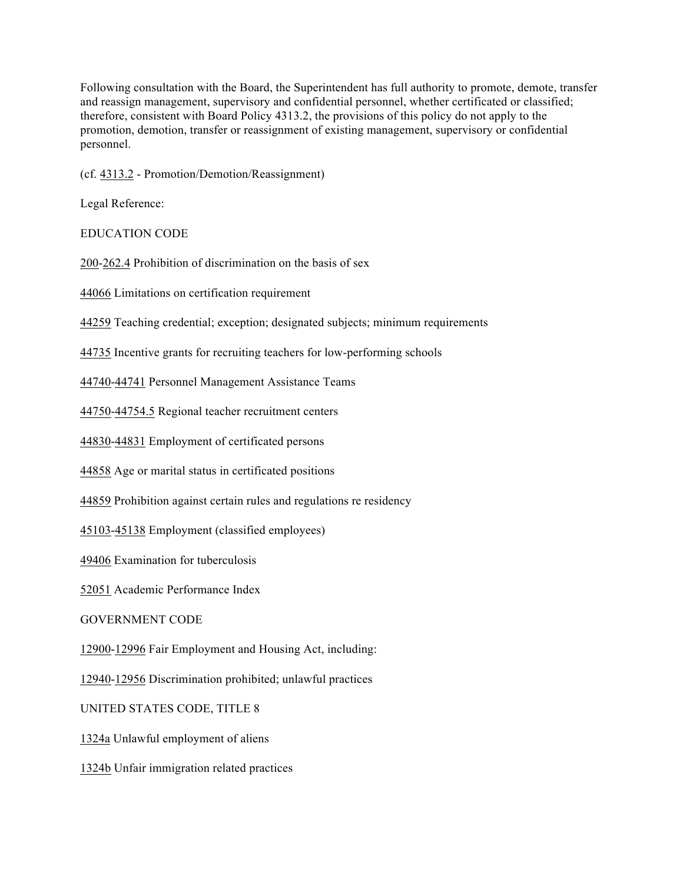Following consultation with the Board, the Superintendent has full authority to promote, demote, transfer and reassign management, supervisory and confidential personnel, whether certificated or classified; therefore, consistent with Board Policy 4313.2, the provisions of this policy do not apply to the promotion, demotion, transfer or reassignment of existing management, supervisory or confidential personnel.

(cf. 4313.2 - Promotion/Demotion/Reassignment)

Legal Reference:

EDUCATION CODE

200-262.4 Prohibition of discrimination on the basis of sex

44066 Limitations on certification requirement

44259 Teaching credential; exception; designated subjects; minimum requirements

44735 Incentive grants for recruiting teachers for low-performing schools

44740-44741 Personnel Management Assistance Teams

44750-44754.5 Regional teacher recruitment centers

44830-44831 Employment of certificated persons

44858 Age or marital status in certificated positions

44859 Prohibition against certain rules and regulations re residency

45103-45138 Employment (classified employees)

49406 Examination for tuberculosis

52051 Academic Performance Index

GOVERNMENT CODE

12900-12996 Fair Employment and Housing Act, including:

12940-12956 Discrimination prohibited; unlawful practices

UNITED STATES CODE, TITLE 8

1324a Unlawful employment of aliens

1324b Unfair immigration related practices